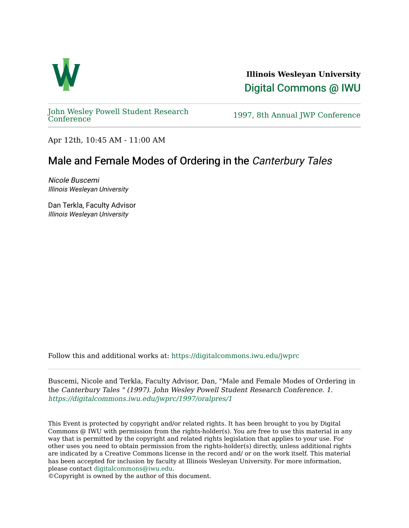

**Illinois Wesleyan University**  [Digital Commons @ IWU](https://digitalcommons.iwu.edu/) 

[John Wesley Powell Student Research](https://digitalcommons.iwu.edu/jwprc) 

1997, 8th Annual JWP [Conference](https://digitalcommons.iwu.edu/jwprc)

Apr 12th, 10:45 AM - 11:00 AM

## Male and Female Modes of Ordering in the Canterbury Tales

Nicole Buscemi Illinois Wesleyan University

Dan Terkla, Faculty Advisor Illinois Wesleyan University

Follow this and additional works at: [https://digitalcommons.iwu.edu/jwprc](https://digitalcommons.iwu.edu/jwprc?utm_source=digitalcommons.iwu.edu%2Fjwprc%2F1997%2Foralpres%2F1&utm_medium=PDF&utm_campaign=PDFCoverPages) 

Buscemi, Nicole and Terkla, Faculty Advisor, Dan, "Male and Female Modes of Ordering in the Canterbury Tales " (1997). John Wesley Powell Student Research Conference. 1. [https://digitalcommons.iwu.edu/jwprc/1997/oralpres/1](https://digitalcommons.iwu.edu/jwprc/1997/oralpres/1?utm_source=digitalcommons.iwu.edu%2Fjwprc%2F1997%2Foralpres%2F1&utm_medium=PDF&utm_campaign=PDFCoverPages) 

This Event is protected by copyright and/or related rights. It has been brought to you by Digital Commons @ IWU with permission from the rights-holder(s). You are free to use this material in any way that is permitted by the copyright and related rights legislation that applies to your use. For other uses you need to obtain permission from the rights-holder(s) directly, unless additional rights are indicated by a Creative Commons license in the record and/ or on the work itself. This material has been accepted for inclusion by faculty at Illinois Wesleyan University. For more information, please contact [digitalcommons@iwu.edu.](mailto:digitalcommons@iwu.edu)

©Copyright is owned by the author of this document.